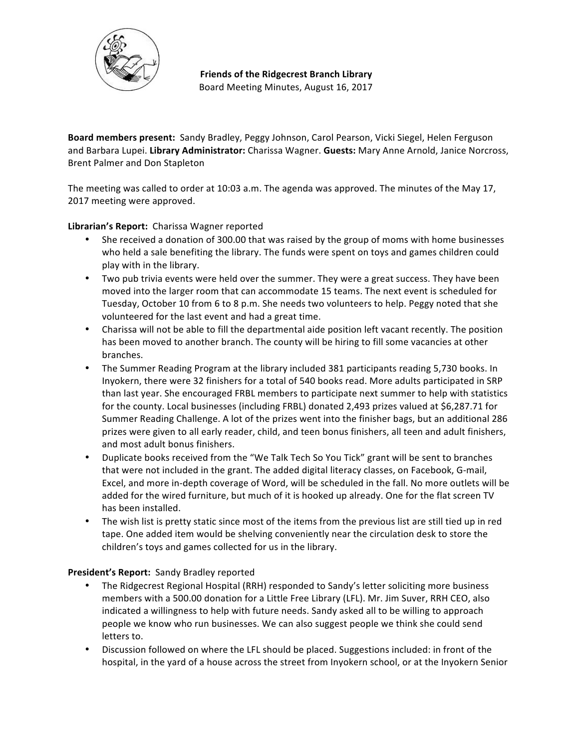

**Friends of the Ridgecrest Branch Library** Board Meeting Minutes, August 16, 2017

**Board members present:** Sandy Bradley, Peggy Johnson, Carol Pearson, Vicki Siegel, Helen Ferguson and Barbara Lupei. Library Administrator: Charissa Wagner. Guests: Mary Anne Arnold, Janice Norcross, Brent Palmer and Don Stapleton

The meeting was called to order at 10:03 a.m. The agenda was approved. The minutes of the May 17, 2017 meeting were approved.

# Librarian's Report: Charissa Wagner reported

- She received a donation of 300.00 that was raised by the group of moms with home businesses who held a sale benefiting the library. The funds were spent on toys and games children could play with in the library.
- Two pub trivia events were held over the summer. They were a great success. They have been moved into the larger room that can accommodate 15 teams. The next event is scheduled for Tuesday, October 10 from 6 to 8 p.m. She needs two volunteers to help. Peggy noted that she volunteered for the last event and had a great time.
- Charissa will not be able to fill the departmental aide position left vacant recently. The position has been moved to another branch. The county will be hiring to fill some vacancies at other branches.
- The Summer Reading Program at the library included 381 participants reading 5,730 books. In Inyokern, there were 32 finishers for a total of 540 books read. More adults participated in SRP than last year. She encouraged FRBL members to participate next summer to help with statistics for the county. Local businesses (including FRBL) donated 2,493 prizes valued at \$6,287.71 for Summer Reading Challenge. A lot of the prizes went into the finisher bags, but an additional 286 prizes were given to all early reader, child, and teen bonus finishers, all teen and adult finishers, and most adult bonus finishers.
- Duplicate books received from the "We Talk Tech So You Tick" grant will be sent to branches that were not included in the grant. The added digital literacy classes, on Facebook, G-mail, Excel, and more in-depth coverage of Word, will be scheduled in the fall. No more outlets will be added for the wired furniture, but much of it is hooked up already. One for the flat screen TV has been installed.
- The wish list is pretty static since most of the items from the previous list are still tied up in red tape. One added item would be shelving conveniently near the circulation desk to store the children's toys and games collected for us in the library.

# **President's Report:** Sandy Bradley reported

- The Ridgecrest Regional Hospital (RRH) responded to Sandy's letter soliciting more business members with a 500.00 donation for a Little Free Library (LFL). Mr. Jim Suver, RRH CEO, also indicated a willingness to help with future needs. Sandy asked all to be willing to approach people we know who run businesses. We can also suggest people we think she could send letters to.
- Discussion followed on where the LFL should be placed. Suggestions included: in front of the hospital, in the yard of a house across the street from Inyokern school, or at the Inyokern Senior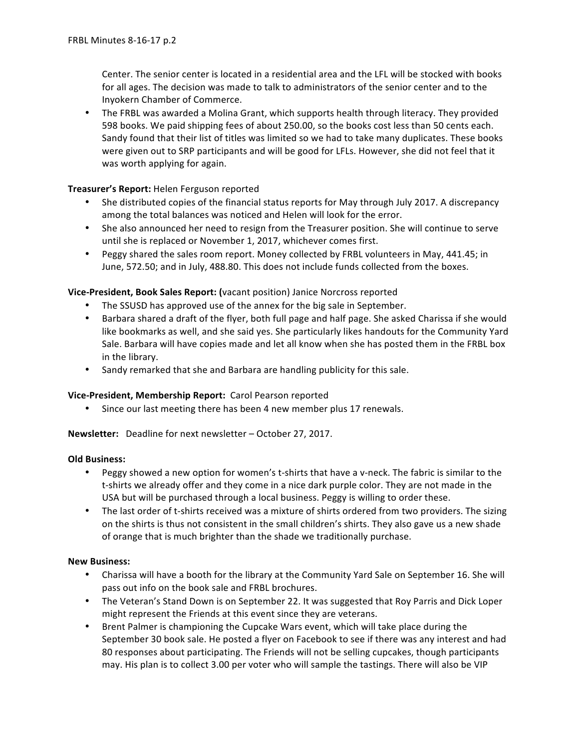Center. The senior center is located in a residential area and the LFL will be stocked with books for all ages. The decision was made to talk to administrators of the senior center and to the Inyokern Chamber of Commerce.

• The FRBL was awarded a Molina Grant, which supports health through literacy. They provided 598 books. We paid shipping fees of about 250.00, so the books cost less than 50 cents each. Sandy found that their list of titles was limited so we had to take many duplicates. These books were given out to SRP participants and will be good for LFLs. However, she did not feel that it was worth applying for again.

# **Treasurer's Report:** Helen Ferguson reported

- She distributed copies of the financial status reports for May through July 2017. A discrepancy among the total balances was noticed and Helen will look for the error.
- She also announced her need to resign from the Treasurer position. She will continue to serve until she is replaced or November 1, 2017, whichever comes first.
- Peggy shared the sales room report. Money collected by FRBL volunteers in May, 441.45; in June, 572.50; and in July, 488.80. This does not include funds collected from the boxes.

# **Vice-President, Book Sales Report: (vacant position) Janice Norcross reported**

- The SSUSD has approved use of the annex for the big sale in September.
- Barbara shared a draft of the flyer, both full page and half page. She asked Charissa if she would like bookmarks as well, and she said yes. She particularly likes handouts for the Community Yard Sale. Barbara will have copies made and let all know when she has posted them in the FRBL box in the library.
- Sandy remarked that she and Barbara are handling publicity for this sale.

# **Vice-President, Membership Report:** Carol Pearson reported

• Since our last meeting there has been 4 new member plus 17 renewals.

**Newsletter:** Deadline for next newsletter – October 27, 2017.

# **Old Business:**

- Peggy showed a new option for women's t-shirts that have a v-neck. The fabric is similar to the t-shirts we already offer and they come in a nice dark purple color. They are not made in the USA but will be purchased through a local business. Peggy is willing to order these.
- The last order of t-shirts received was a mixture of shirts ordered from two providers. The sizing on the shirts is thus not consistent in the small children's shirts. They also gave us a new shade of orange that is much brighter than the shade we traditionally purchase.

# **New Business:**

- Charissa will have a booth for the library at the Community Yard Sale on September 16. She will pass out info on the book sale and FRBL brochures.
- The Veteran's Stand Down is on September 22. It was suggested that Roy Parris and Dick Loper might represent the Friends at this event since they are veterans.
- Brent Palmer is championing the Cupcake Wars event, which will take place during the September 30 book sale. He posted a flyer on Facebook to see if there was any interest and had 80 responses about participating. The Friends will not be selling cupcakes, though participants may. His plan is to collect 3.00 per voter who will sample the tastings. There will also be VIP